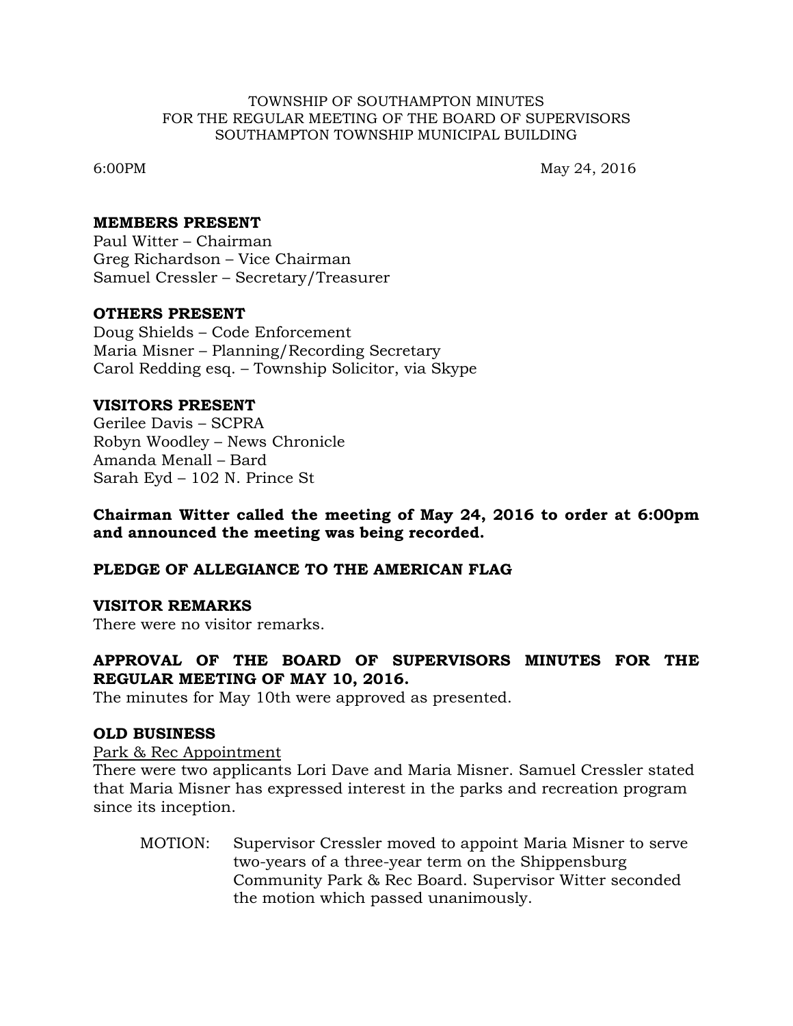#### TOWNSHIP OF SOUTHAMPTON MINUTES FOR THE REGULAR MEETING OF THE BOARD OF SUPERVISORS SOUTHAMPTON TOWNSHIP MUNICIPAL BUILDING

6:00PM May 24, 2016

#### **MEMBERS PRESENT**

Paul Witter – Chairman Greg Richardson – Vice Chairman Samuel Cressler – Secretary/Treasurer

### **OTHERS PRESENT**

Doug Shields – Code Enforcement Maria Misner – Planning/Recording Secretary Carol Redding esq. – Township Solicitor, via Skype

### **VISITORS PRESENT**

Gerilee Davis – SCPRA Robyn Woodley – News Chronicle Amanda Menall – Bard Sarah Eyd – 102 N. Prince St

### **Chairman Witter called the meeting of May 24, 2016 to order at 6:00pm and announced the meeting was being recorded.**

### **PLEDGE OF ALLEGIANCE TO THE AMERICAN FLAG**

### **VISITOR REMARKS**

There were no visitor remarks.

## **APPROVAL OF THE BOARD OF SUPERVISORS MINUTES FOR THE REGULAR MEETING OF MAY 10, 2016.**

The minutes for May 10th were approved as presented.

### **OLD BUSINESS**

Park & Rec Appointment

There were two applicants Lori Dave and Maria Misner. Samuel Cressler stated that Maria Misner has expressed interest in the parks and recreation program since its inception.

MOTION: Supervisor Cressler moved to appoint Maria Misner to serve two-years of a three-year term on the Shippensburg Community Park & Rec Board. Supervisor Witter seconded the motion which passed unanimously.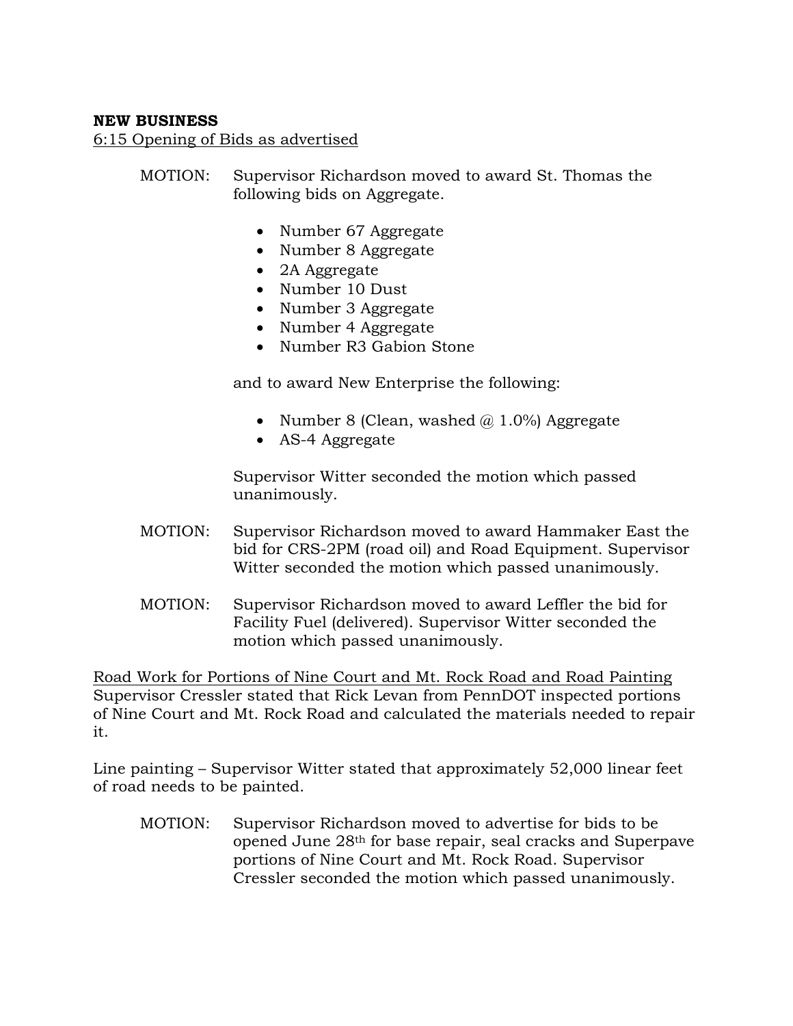## **NEW BUSINESS**

6:15 Opening of Bids as advertised

- MOTION: Supervisor Richardson moved to award St. Thomas the following bids on Aggregate.
	- Number 67 Aggregate
	- Number 8 Aggregate
	- 2A Aggregate
	- Number 10 Dust
	- Number 3 Aggregate
	- Number 4 Aggregate
	- Number R3 Gabion Stone

and to award New Enterprise the following:

- Number 8 (Clean, washed  $\omega$  1.0%) Aggregate
- AS-4 Aggregate

Supervisor Witter seconded the motion which passed unanimously.

- MOTION: Supervisor Richardson moved to award Hammaker East the bid for CRS-2PM (road oil) and Road Equipment. Supervisor Witter seconded the motion which passed unanimously.
- MOTION: Supervisor Richardson moved to award Leffler the bid for Facility Fuel (delivered). Supervisor Witter seconded the motion which passed unanimously.

Road Work for Portions of Nine Court and Mt. Rock Road and Road Painting Supervisor Cressler stated that Rick Levan from PennDOT inspected portions of Nine Court and Mt. Rock Road and calculated the materials needed to repair it.

Line painting – Supervisor Witter stated that approximately 52,000 linear feet of road needs to be painted.

MOTION: Supervisor Richardson moved to advertise for bids to be opened June 28th for base repair, seal cracks and Superpave portions of Nine Court and Mt. Rock Road. Supervisor Cressler seconded the motion which passed unanimously.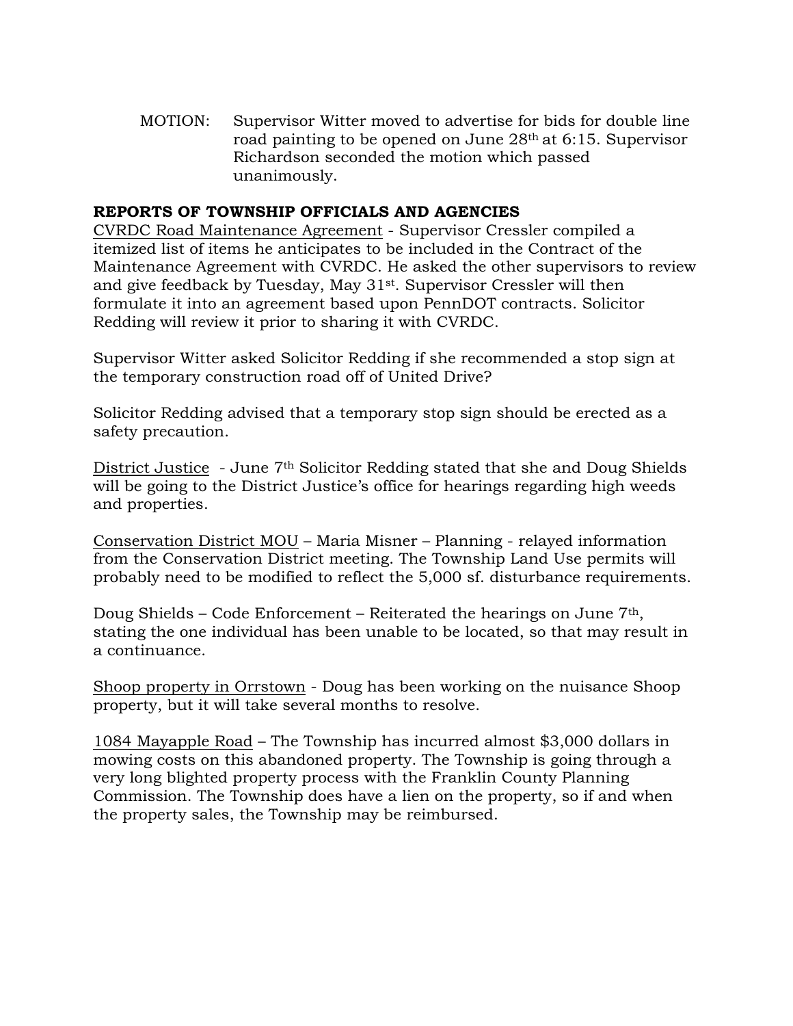MOTION: Supervisor Witter moved to advertise for bids for double line road painting to be opened on June 28th at 6:15. Supervisor Richardson seconded the motion which passed unanimously.

## **REPORTS OF TOWNSHIP OFFICIALS AND AGENCIES**

CVRDC Road Maintenance Agreement - Supervisor Cressler compiled a itemized list of items he anticipates to be included in the Contract of the Maintenance Agreement with CVRDC. He asked the other supervisors to review and give feedback by Tuesday, May 31st. Supervisor Cressler will then formulate it into an agreement based upon PennDOT contracts. Solicitor Redding will review it prior to sharing it with CVRDC.

Supervisor Witter asked Solicitor Redding if she recommended a stop sign at the temporary construction road off of United Drive?

Solicitor Redding advised that a temporary stop sign should be erected as a safety precaution.

District Justice - June 7th Solicitor Redding stated that she and Doug Shields will be going to the District Justice's office for hearings regarding high weeds and properties.

Conservation District MOU – Maria Misner – Planning - relayed information from the Conservation District meeting. The Township Land Use permits will probably need to be modified to reflect the 5,000 sf. disturbance requirements.

Doug Shields – Code Enforcement – Reiterated the hearings on June  $7<sup>th</sup>$ , stating the one individual has been unable to be located, so that may result in a continuance.

Shoop property in Orrstown - Doug has been working on the nuisance Shoop property, but it will take several months to resolve.

1084 Mayapple Road – The Township has incurred almost \$3,000 dollars in mowing costs on this abandoned property. The Township is going through a very long blighted property process with the Franklin County Planning Commission. The Township does have a lien on the property, so if and when the property sales, the Township may be reimbursed.